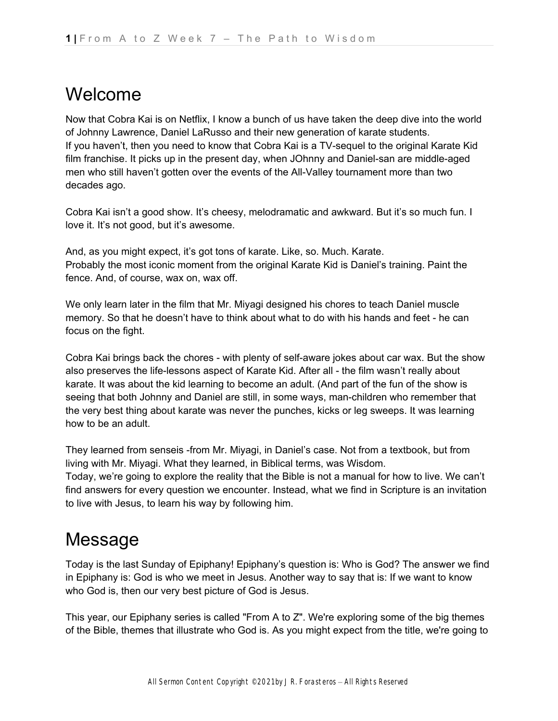## Welcome

Now that Cobra Kai is on Netflix, I know a bunch of us have taken the deep dive into the world of Johnny Lawrence, Daniel LaRusso and their new generation of karate students. If you haven't, then you need to know that Cobra Kai is a TV-sequel to the original Karate Kid film franchise. It picks up in the present day, when JOhnny and Daniel-san are middle-aged men who still haven't gotten over the events of the All-Valley tournament more than two decades ago.

Cobra Kai isn't a good show. It's cheesy, melodramatic and awkward. But it's so much fun. I love it. It's not good, but it's awesome.

And, as you might expect, it's got tons of karate. Like, so. Much. Karate. Probably the most iconic moment from the original Karate Kid is Daniel's training. Paint the fence. And, of course, wax on, wax off.

We only learn later in the film that Mr. Miyagi designed his chores to teach Daniel muscle memory. So that he doesn't have to think about what to do with his hands and feet - he can focus on the fight.

Cobra Kai brings back the chores - with plenty of self-aware jokes about car wax. But the show also preserves the life-lessons aspect of Karate Kid. After all - the film wasn't really about karate. It was about the kid learning to become an adult. (And part of the fun of the show is seeing that both Johnny and Daniel are still, in some ways, man-children who remember that the very best thing about karate was never the punches, kicks or leg sweeps. It was learning how to be an adult.

They learned from senseis -from Mr. Miyagi, in Daniel's case. Not from a textbook, but from living with Mr. Miyagi. What they learned, in Biblical terms, was Wisdom. Today, we're going to explore the reality that the Bible is not a manual for how to live. We can't find answers for every question we encounter. Instead, what we find in Scripture is an invitation to live with Jesus, to learn his way by following him.

# Message

Today is the last Sunday of Epiphany! Epiphany's question is: Who is God? The answer we find in Epiphany is: God is who we meet in Jesus. Another way to say that is: If we want to know who God is, then our very best picture of God is Jesus.

This year, our Epiphany series is called "From A to Z". We're exploring some of the big themes of the Bible, themes that illustrate who God is. As you might expect from the title, we're going to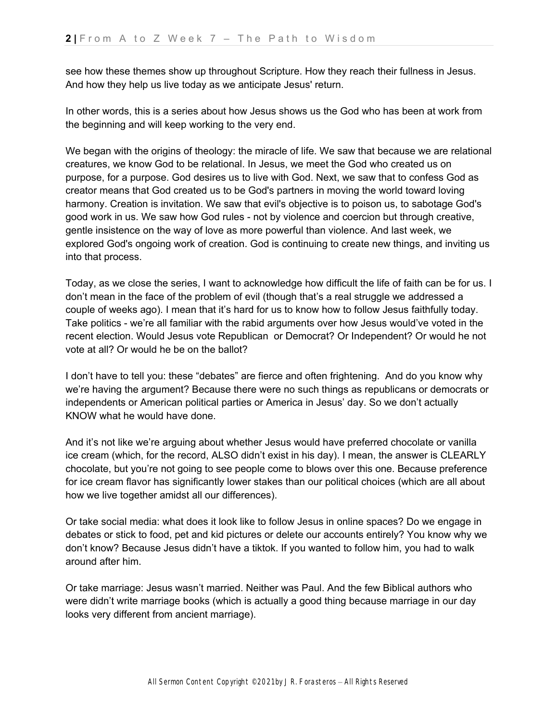see how these themes show up throughout Scripture. How they reach their fullness in Jesus. And how they help us live today as we anticipate Jesus' return.

In other words, this is a series about how Jesus shows us the God who has been at work from the beginning and will keep working to the very end.

We began with the origins of theology: the miracle of life. We saw that because we are relational creatures, we know God to be relational. In Jesus, we meet the God who created us on purpose, for a purpose. God desires us to live with God. Next, we saw that to confess God as creator means that God created us to be God's partners in moving the world toward loving harmony. Creation is invitation. We saw that evil's objective is to poison us, to sabotage God's good work in us. We saw how God rules - not by violence and coercion but through creative, gentle insistence on the way of love as more powerful than violence. And last week, we explored God's ongoing work of creation. God is continuing to create new things, and inviting us into that process.

Today, as we close the series, I want to acknowledge how difficult the life of faith can be for us. I don't mean in the face of the problem of evil (though that's a real struggle we addressed a couple of weeks ago). I mean that it's hard for us to know how to follow Jesus faithfully today. Take politics - we're all familiar with the rabid arguments over how Jesus would've voted in the recent election. Would Jesus vote Republican or Democrat? Or Independent? Or would he not vote at all? Or would he be on the ballot?

I don't have to tell you: these "debates" are fierce and often frightening. And do you know why we're having the argument? Because there were no such things as republicans or democrats or independents or American political parties or America in Jesus' day. So we don't actually KNOW what he would have done.

And it's not like we're arguing about whether Jesus would have preferred chocolate or vanilla ice cream (which, for the record, ALSO didn't exist in his day). I mean, the answer is CLEARLY chocolate, but you're not going to see people come to blows over this one. Because preference for ice cream flavor has significantly lower stakes than our political choices (which are all about how we live together amidst all our differences).

Or take social media: what does it look like to follow Jesus in online spaces? Do we engage in debates or stick to food, pet and kid pictures or delete our accounts entirely? You know why we don't know? Because Jesus didn't have a tiktok. If you wanted to follow him, you had to walk around after him.

Or take marriage: Jesus wasn't married. Neither was Paul. And the few Biblical authors who were didn't write marriage books (which is actually a good thing because marriage in our day looks very different from ancient marriage).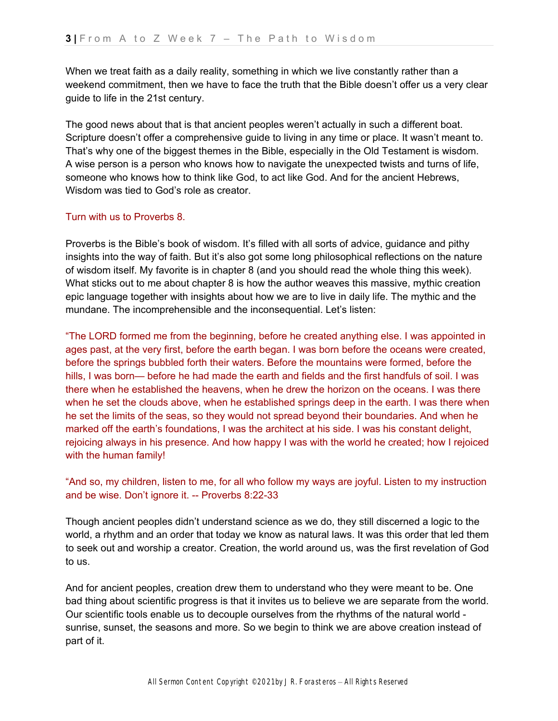When we treat faith as a daily reality, something in which we live constantly rather than a weekend commitment, then we have to face the truth that the Bible doesn't offer us a very clear guide to life in the 21st century.

The good news about that is that ancient peoples weren't actually in such a different boat. Scripture doesn't offer a comprehensive guide to living in any time or place. It wasn't meant to. That's why one of the biggest themes in the Bible, especially in the Old Testament is wisdom. A wise person is a person who knows how to navigate the unexpected twists and turns of life, someone who knows how to think like God, to act like God. And for the ancient Hebrews, Wisdom was tied to God's role as creator

### Turn with us to Proverbs 8.

Proverbs is the Bible's book of wisdom. It's filled with all sorts of advice, guidance and pithy insights into the way of faith. But it's also got some long philosophical reflections on the nature of wisdom itself. My favorite is in chapter 8 (and you should read the whole thing this week). What sticks out to me about chapter 8 is how the author weaves this massive, mythic creation epic language together with insights about how we are to live in daily life. The mythic and the mundane. The incomprehensible and the inconsequential. Let's listen:

"The LORD formed me from the beginning, before he created anything else. I was appointed in ages past, at the very first, before the earth began. I was born before the oceans were created, before the springs bubbled forth their waters. Before the mountains were formed, before the hills, I was born— before he had made the earth and fields and the first handfuls of soil. I was there when he established the heavens, when he drew the horizon on the oceans. I was there when he set the clouds above, when he established springs deep in the earth. I was there when he set the limits of the seas, so they would not spread beyond their boundaries. And when he marked off the earth's foundations, I was the architect at his side. I was his constant delight, rejoicing always in his presence. And how happy I was with the world he created; how I rejoiced with the human family!

## "And so, my children, listen to me, for all who follow my ways are joyful. Listen to my instruction and be wise. Don't ignore it. -- Proverbs 8:22-33

Though ancient peoples didn't understand science as we do, they still discerned a logic to the world, a rhythm and an order that today we know as natural laws. It was this order that led them to seek out and worship a creator. Creation, the world around us, was the first revelation of God to us.

And for ancient peoples, creation drew them to understand who they were meant to be. One bad thing about scientific progress is that it invites us to believe we are separate from the world. Our scientific tools enable us to decouple ourselves from the rhythms of the natural world sunrise, sunset, the seasons and more. So we begin to think we are above creation instead of part of it.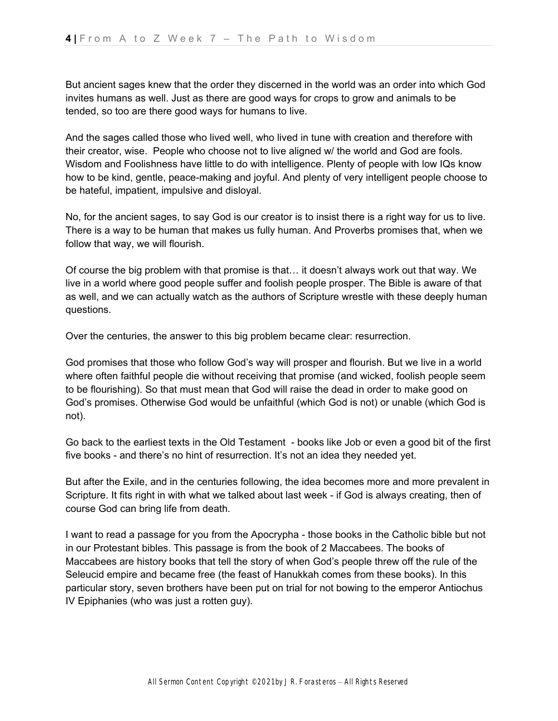But ancient sages knew that the order they discerned in the world was an order into which God invites humans as well. Just as there are good ways for crops to grow and animals to be tended, so too are there good ways for humans to live.

And the sages called those who lived well, who lived in tune with creation and therefore with their creator, wise. People who choose not to live aligned w/ the world and God are fools. Wisdom and Foolishness have little to do with intelligence. Plenty of people with low IQs know how to be kind, gentle, peace-making and joyful. And plenty of very intelligent people choose to be hateful, impatient, impulsive and disloyal.

No, for the ancient sages, to say God is our creator is to insist there is a right way for us to live. There is a way to be human that makes us fully human. And Proverbs promises that, when we follow that way, we will flourish.

Of course the big problem with that promise is that… it doesn't always work out that way. We live in a world where good people suffer and foolish people prosper. The Bible is aware of that as well, and we can actually watch as the authors of Scripture wrestle with these deeply human questions.

Over the centuries, the answer to this big problem became clear: resurrection.

God promises that those who follow God's way will prosper and flourish. But we live in a world where often faithful people die without receiving that promise (and wicked, foolish people seem to be flourishing). So that must mean that God will raise the dead in order to make good on God's promises. Otherwise God would be unfaithful (which God is not) or unable (which God is not).

Go back to the earliest texts in the Old Testament - books like Job or even a good bit of the first five books - and there's no hint of resurrection. It's not an idea they needed yet.

But after the Exile, and in the centuries following, the idea becomes more and more prevalent in Scripture. It fits right in with what we talked about last week - if God is always creating, then of course God can bring life from death.

I want to read a passage for you from the Apocrypha - those books in the Catholic bible but not in our Protestant bibles. This passage is from the book of 2 Maccabees. The books of Maccabees are history books that tell the story of when God's people threw off the rule of the Seleucid empire and became free (the feast of Hanukkah comes from these books). In this particular story, seven brothers have been put on trial for not bowing to the emperor Antiochus IV Epiphanies (who was just a rotten guy).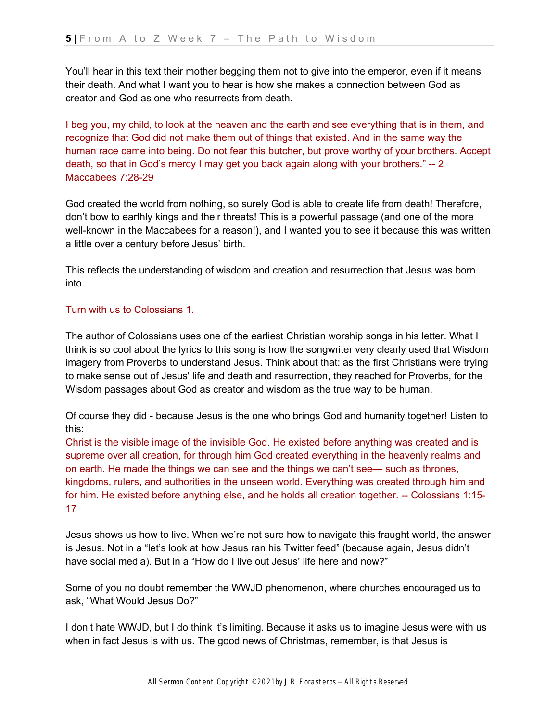You'll hear in this text their mother begging them not to give into the emperor, even if it means their death. And what I want you to hear is how she makes a connection between God as creator and God as one who resurrects from death.

I beg you, my child, to look at the heaven and the earth and see everything that is in them, and recognize that God did not make them out of things that existed. And in the same way the human race came into being. Do not fear this butcher, but prove worthy of your brothers. Accept death, so that in God's mercy I may get you back again along with your brothers." -- 2 Maccabees 7:28-29

God created the world from nothing, so surely God is able to create life from death! Therefore, don't bow to earthly kings and their threats! This is a powerful passage (and one of the more well-known in the Maccabees for a reason!), and I wanted you to see it because this was written a little over a century before Jesus' birth.

This reflects the understanding of wisdom and creation and resurrection that Jesus was born into.

### Turn with us to Colossians 1.

The author of Colossians uses one of the earliest Christian worship songs in his letter. What I think is so cool about the lyrics to this song is how the songwriter very clearly used that Wisdom imagery from Proverbs to understand Jesus. Think about that: as the first Christians were trying to make sense out of Jesus' life and death and resurrection, they reached for Proverbs, for the Wisdom passages about God as creator and wisdom as the true way to be human.

Of course they did - because Jesus is the one who brings God and humanity together! Listen to this:

Christ is the visible image of the invisible God. He existed before anything was created and is supreme over all creation, for through him God created everything in the heavenly realms and on earth. He made the things we can see and the things we can't see— such as thrones, kingdoms, rulers, and authorities in the unseen world. Everything was created through him and for him. He existed before anything else, and he holds all creation together. -- Colossians 1:15- 17

Jesus shows us how to live. When we're not sure how to navigate this fraught world, the answer is Jesus. Not in a "let's look at how Jesus ran his Twitter feed" (because again, Jesus didn't have social media). But in a "How do I live out Jesus' life here and now?"

Some of you no doubt remember the WWJD phenomenon, where churches encouraged us to ask, "What Would Jesus Do?"

I don't hate WWJD, but I do think it's limiting. Because it asks us to imagine Jesus were with us when in fact Jesus is with us. The good news of Christmas, remember, is that Jesus is